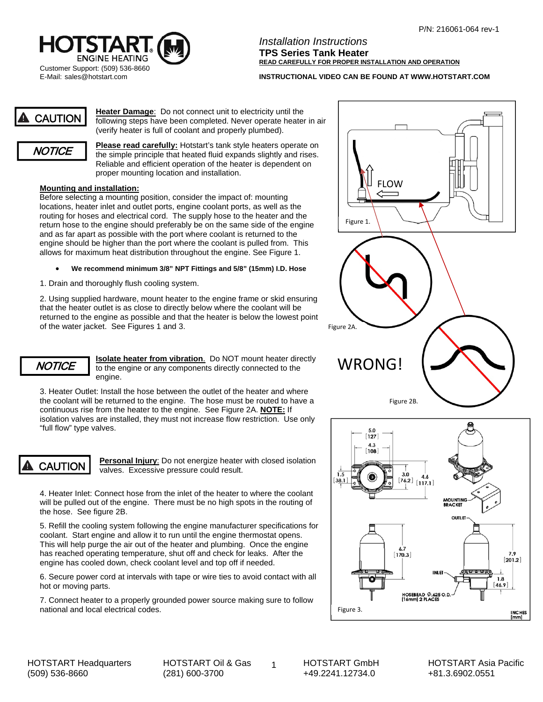

*Installation Instructions*  **TPS Series Tank Heater READ CAREFULLY FOR PROPER INSTALLATION AND OPERATION** 

**INSTRUCTIONAL VIDEO CAN BE FOUND AT WWW.HOTSTART.COM** 

CAUTION

**Heater Damage**: Do not connect unit to electricity until the following steps have been completed. Never operate heater in air (verify heater is full of coolant and properly plumbed).



**Please read carefully:** Hotstart's tank style heaters operate on the simple principle that heated fluid expands slightly and rises. Reliable and efficient operation of the heater is dependent on proper mounting location and installation.

## **Mounting and installation:**

Before selecting a mounting position, consider the impact of: mounting locations, heater inlet and outlet ports, engine coolant ports, as well as the routing for hoses and electrical cord. The supply hose to the heater and the return hose to the engine should preferably be on the same side of the engine and as far apart as possible with the port where coolant is returned to the engine should be higher than the port where the coolant is pulled from. This allows for maximum heat distribution throughout the engine. See Figure 1.

- **We recommend minimum 3/8" NPT Fittings and 5/8" (15mm) I.D. Hose**
- 1. Drain and thoroughly flush cooling system.

2. Using supplied hardware, mount heater to the engine frame or skid ensuring that the heater outlet is as close to directly below where the coolant will be returned to the engine as possible and that the heater is below the lowest point of the water jacket. See Figures 1 and 3.

**Isolate heater from vibration**. Do NOT mount heater directly *NOTICE* Solate heater from vibration. Do NOT mount heater directly WRONG! engine.

3. Heater Outlet: Install the hose between the outlet of the heater and where the coolant will be returned to the engine. The hose must be routed to have a continuous rise from the heater to the engine. See Figure 2A. **NOTE:** If isolation valves are installed, they must not increase flow restriction. Use only "full flow" type valves.

CAUTION

**Personal Injury**: Do not energize heater with closed isolation valves. Excessive pressure could result.

4. Heater Inlet: Connect hose from the inlet of the heater to where the coolant will be pulled out of the engine. There must be no high spots in the routing of the hose. See figure 2B.

5. Refill the cooling system following the engine manufacturer specifications for coolant. Start engine and allow it to run until the engine thermostat opens. This will help purge the air out of the heater and plumbing. Once the engine has reached operating temperature, shut off and check for leaks. After the engine has cooled down, check coolant level and top off if needed.

6. Secure power cord at intervals with tape or wire ties to avoid contact with all hot or moving parts.

7. Connect heater to a properly grounded power source making sure to follow national and local electrical codes.





HOTSTART Headquarters (509) 536-8660

 $\sim$  1 HOTSTART Oil & Gas (281) 600-3700

HOTSTART GmbH +49.2241.12734.0

HOTSTART Asia Pacific +81.3.6902.0551